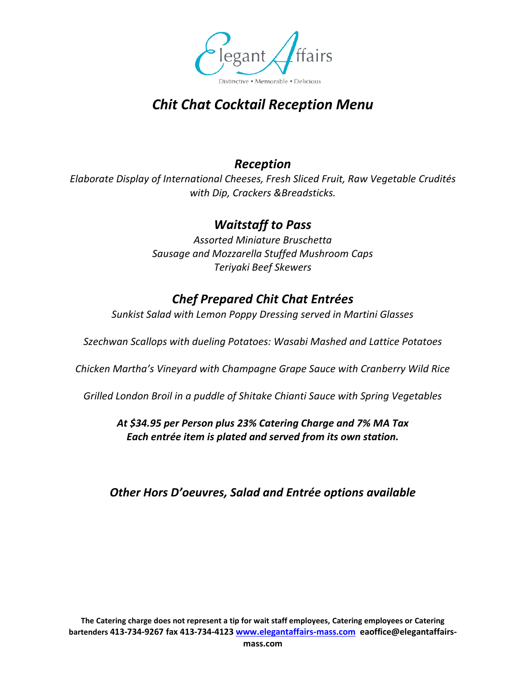

# *Chit Chat Cocktail Reception Menu*

#### *Reception*

*Elaborate Display of International Cheeses, Fresh Sliced Fruit, Raw Vegetable Crudités with Dip, Crackers &Breadsticks.*

#### *Waitstaff to Pass*

*Assorted Miniature Bruschetta Sausage and Mozzarella Stuffed Mushroom Caps Teriyaki Beef Skewers*

### *Chef Prepared Chit Chat Entrées*

*Sunkist Salad with Lemon Poppy Dressing served in Martini Glasses*

*Szechwan Scallops with dueling Potatoes: Wasabi Mashed and Lattice Potatoes*

*Chicken Martha's Vineyard with Champagne Grape Sauce with Cranberry Wild Rice*

*Grilled London Broil in a puddle of Shitake Chianti Sauce with Spring Vegetables*

*At \$34.95 per Person plus 23% Catering Charge and 7% MA Tax Each entrée item is plated and served from its own station.* 

*Other Hors D'oeuvres, Salad and Entrée options available*